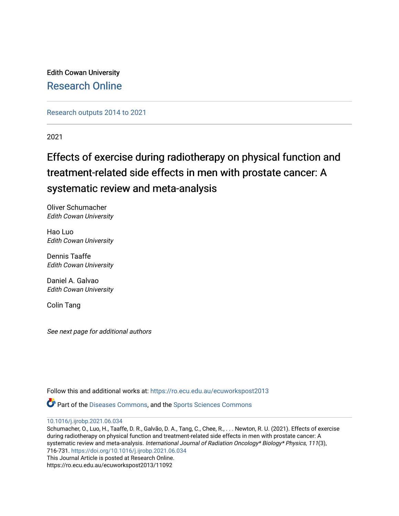Edith Cowan University [Research Online](https://ro.ecu.edu.au/) 

[Research outputs 2014 to 2021](https://ro.ecu.edu.au/ecuworkspost2013) 

2021

## Effects of exercise during radiotherapy on physical function and treatment-related side effects in men with prostate cancer: A systematic review and meta-analysis

Oliver Schumacher Edith Cowan University

Hao Luo Edith Cowan University

Dennis Taaffe Edith Cowan University

Daniel A. Galvao Edith Cowan University

Colin Tang

See next page for additional authors

Follow this and additional works at: [https://ro.ecu.edu.au/ecuworkspost2013](https://ro.ecu.edu.au/ecuworkspost2013?utm_source=ro.ecu.edu.au%2Fecuworkspost2013%2F11092&utm_medium=PDF&utm_campaign=PDFCoverPages) 

Part of the [Diseases Commons](https://network.bepress.com/hgg/discipline/813?utm_source=ro.ecu.edu.au%2Fecuworkspost2013%2F11092&utm_medium=PDF&utm_campaign=PDFCoverPages), and the [Sports Sciences Commons](https://network.bepress.com/hgg/discipline/759?utm_source=ro.ecu.edu.au%2Fecuworkspost2013%2F11092&utm_medium=PDF&utm_campaign=PDFCoverPages) 

[10.1016/j.ijrobp.2021.06.034](http://dx.doi.org/10.1016/j.ijrobp.2021.06.034) 

Schumacher, O., Luo, H., Taaffe, D. R., Galvão, D. A., Tang, C., Chee, R., . . . Newton, R. U. (2021). Effects of exercise during radiotherapy on physical function and treatment-related side effects in men with prostate cancer: A systematic review and meta-analysis. International Journal of Radiation Oncology\* Biology\* Physics, 111(3), 716-731.<https://doi.org/10.1016/j.ijrobp.2021.06.034> This Journal Article is posted at Research Online. https://ro.ecu.edu.au/ecuworkspost2013/11092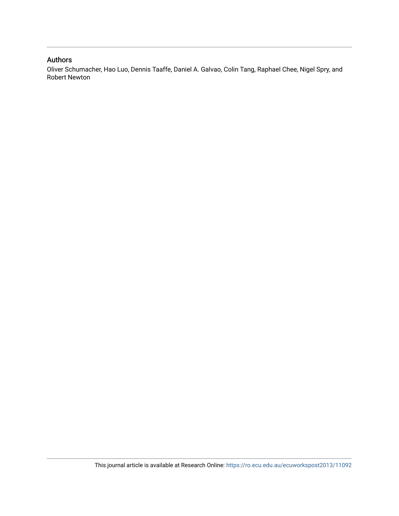## Authors

Oliver Schumacher, Hao Luo, Dennis Taaffe, Daniel A. Galvao, Colin Tang, Raphael Chee, Nigel Spry, and Robert Newton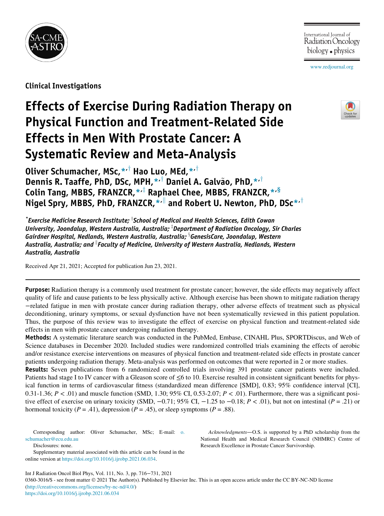

International Journal of Radiation Oncology biology  $\bullet$  physics

[www.redjournal.org](http://www.redjournal.org)

Clinical Investigations

# Effects of Exercise During Radiation Therapy on Physical Function and Treatment-Related Side Effects in Men With Prostate Cancer: A Systematic Review and Meta-Analysis



Oliver Schumacher, MSc[,\\*](#page-2-0)<sup>,†</sup> Hao Luo, MEd,\*<sup>,†</sup> Dennis R. Taaffe, PhD, DSc, MPH, $*^{\dagger}$  $*^{\dagger}$  Daniel A. Galvão, PhD, $*^{\dagger}$ Colin Tang, MBBS, FRANZCR, $*$ <sup>, $\ddagger$ </sup> Raphael Chee, MBBS, FRANZCR, $*$ <sup>,§</sup> Nigel Spr[y](#page-2-0), MBBS, PhD, FRANZCR,  $\star$ <sup>-||</sup> and Robert U. Newton, PhD, DSc $\star$ <sup>+</sup>

<span id="page-2-1"></span><span id="page-2-0"></span> $\displaystyle{ \raisebox{0.6ex}{\scriptsize{*}}}$ Exercise Medicine Research Institute;  $\displaystyle{ \raisebox{0.6ex}{\scriptsize{*}}}$  School of Medical and Health Sciences, Edith Cowan University, Joondalup, Western Australia, Australia; <sup>1</sup>Department of Radiation Oncology, Sir Charles Gairdner Hospital, Nedlands, Western Australia, Australia; <sup>§</sup>GenesisCare, Joondalup, Western Australia, Australia; and "Faculty of Medicine, University of Western Australia, Nedlands, Western Australia, Australia

<span id="page-2-2"></span>Received Apr 21, 2021; Accepted for publication Jun 23, 2021.

Purpose: Radiation therapy is a commonly used treatment for prostate cancer; however, the side effects may negatively affect quality of life and cause patients to be less physically active. Although exercise has been shown to mitigate radiation therapy −related fatigue in men with prostate cancer during radiation therapy, other adverse effects of treatment such as physical deconditioning, urinary symptoms, or sexual dysfunction have not been systematically reviewed in this patient population. Thus, the purpose of this review was to investigate the effect of exercise on physical function and treatment-related side effects in men with prostate cancer undergoing radiation therapy.

Methods: A systematic literature search was conducted in the PubMed, Embase, CINAHL Plus, SPORTDiscus, and Web of Science databases in December 2020. Included studies were randomized controlled trials examining the effects of aerobic and/or resistance exercise interventions on measures of physical function and treatment-related side effects in prostate cancer patients undergoing radiation therapy. Meta-analysis was performed on outcomes that were reported in 2 or more studies.

**Results:** Seven publications from 6 randomized controlled trials involving 391 prostate cancer patients were included. Patients had stage I to IV cancer with a Gleason score of ≤6 to 10. Exercise resulted in consistent significant benefits for physical function in terms of cardiovascular fitness (standardized mean difference [SMD], 0.83; 95% confidence interval [CI], 0.31-1.36;  $P < 0.01$ ) and muscle function (SMD, 1.30; 95% CI, 0.53-2.07;  $P < 0.01$ ). Furthermore, there was a significant positive effect of exercise on urinary toxicity (SMD,  $-0.71$ ; 95% CI,  $-1.25$  to  $-0.18$ ;  $P < .01$ ), but not on intestinal ( $P = .21$ ) or hormonal toxicity ( $P = .41$ ), depression ( $P = .45$ ), or sleep symptoms ( $P = .88$ ).

Corresponding author: Oliver Schumacher, MSc; E-mail: [o.](mailto:XPATH ERROR: unterminated function parameters; missing ) [schumacher@ecu.edu.au](mailto:XPATH ERROR: unterminated function parameters; missing )

Disclosures: none.

Supplementary material associated with this article can be found in the online version at [https://doi.org/10.1016/j.ijrobp.2021.06.034.](https://doi.org/10.1016/j.ijrobp.2021.06.034)

Int J Radiation Oncol Biol Phys, Vol. 111, No. 3, pp. 716−731, 2021

0360-3016/\$ - see front matter © 2021 The Author(s). Published by Elsevier Inc. This is an open access article under the CC BY-NC-ND license ([http://creativecommons.org/licenses/by-nc-nd/4.0/\)](http://creativecommons.org/licenses/by-nc-nd/4.0/) <https://doi.org/10.1016/j.ijrobp.2021.06.034>

Acknowledgments—O.S. is supported by a PhD scholarship from the National Health and Medical Research Council (NHMRC) Centre of Research Excellence in Prostate Cancer Survivorship.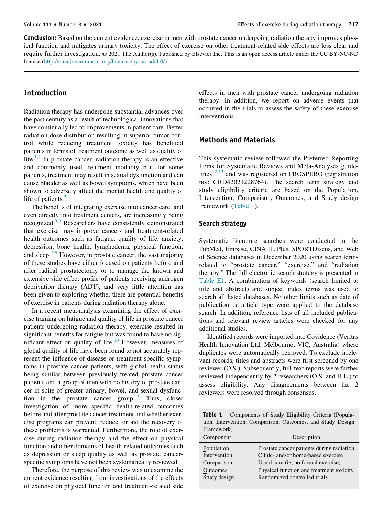Conclusion: Based on the current evidence, exercise in men with prostate cancer undergoing radiation therapy improves physical function and mitigates urinary toxicity. The effect of exercise on other treatment-related side effects are less clear and require further investigation.  $© 2021$  The Author(s). Published by Elsevier Inc. This is an open access article under the CC BY-NC-ND license [\(http://creativecommons.org/licenses/by-nc-nd/4.0/\)](http://creativecommons.org/licenses/by-nc-nd/4.0/)

## Introduction

Radiation therapy has undergone substantial advances over the past century as a result of technological innovations that have continually led to improvements in patient care. Better radiation dose distribution resulting in superior tumor control while reducing treatment toxicity has benefitted patients in terms of treatment outcome as well as quality of life.<sup>[1,](#page-16-0)[2](#page-16-1)</sup> In prostate cancer, radiation therapy is an effective and commonly used treatment modality but, for some patients, treatment may result in sexual dysfunction and can cause bladder as well as bowel symptoms, which have been shown to adversely affect the mental health and quality of life of patients. $3,4$  $3,4$ 

The benefits of integrating exercise into cancer care, and even directly into treatment centers, are increasingly being recognized. $5,6$  $5,6$  $5,6$  Researchers have consistently demonstrated that exercise may improve cancer- and treatment-related health outcomes such as fatigue, quality of life, anxiety, depression, bone health, lymphedema, physical function, and sleep. $7-9$  However, in prostate cancer, the vast majority of these studies have either focused on patients before and after radical prostatectomy or to manage the known and extensive side effect profile of patients receiving androgen deprivation therapy (ADT), and very little attention has been given to exploring whether there are potential benefits of exercise in patients during radiation therapy alone.

In a recent meta-analysis examining the effect of exercise training on fatigue and quality of life in prostate cancer patients undergoing radiation therapy, exercise resulted in significant benefits for fatigue but was found to have no sig-nificant effect on quality of life.<sup>[10](#page-16-7)</sup> However, measures of global quality of life have been found to not accurately represent the influence of disease or treatment-specific symptoms in prostate cancer patients, with global health status being similar between previously treated prostate cancer patients and a group of men with no history of prostate cancer in spite of greater urinary, bowel, and sexual dysfunction in the prostate cancer group. $11$  Thus, closer investigation of more specific health-related outcomes before and after prostate cancer treatment and whether exercise programs can prevent, reduce, or aid the recovery of these problems is warranted. Furthermore, the role of exercise during radiation therapy and the effect on physical function and other domains of health-related outcomes such as depression or sleep quality as well as prostate cancerspecific symptoms have not been systematically reviewed.

<span id="page-3-0"></span>Therefore, the purpose of this review was to examine the current evidence resulting from investigations of the effects of exercise on physical function and treatment-related side effects in men with prostate cancer undergoing radiation therapy. In addition, we report on adverse events that occurred in the trials to assess the safety of these exercise interventions.

### Methods and Materials

This systematic review followed the Preferred Reporting Items for Systematic Reviews and Meta-Analyses guidelines $12,13$  $12,13$  and was registered on PROSPERO (registration no.: CRD42021228764). The search term strategy and study eligibility criteria are based on the Population, Intervention, Comparison, Outcomes, and Study design framework [\(Table 1](#page-3-0)).

#### Search strategy

Systematic literature searches were conducted in the PubMed, Embase, CINAHL Plus, SPORTDiscus, and Web of Science databases in December 2020 using search terms related to "prostate cancer," "exercise," and "radiation therapy." The full electronic search strategy is presented in [Table E1.](#page-16-11) A combination of keywords (search limited to title and abstract) and subject index terms was used to search all listed databases. No other limits such as date of publication or article type were applied to the database search. In addition, reference lists of all included publications and relevant review articles were checked for any additional studies.

Identified records were imported into Covidence (Veritas Health Innovation Ltd, Melbourne, VIC, Australia) where duplicates were automatically removed. To exclude irrelevant records, titles and abstracts were first screened by one reviewer (O.S.). Subsequently, full-text reports were further reviewed independently by 2 researchers (O.S. and H.L.) to assess eligibility. Any disagreements between the 2 reviewers were resolved through consensus.

Table 1 Components of Study Eligibility Criteria (Population, Intervention, Comparison, Outcomes, and Study Design Framework)

| Component    | Description                               |
|--------------|-------------------------------------------|
| Population   | Prostate cancer patients during radiation |
| Intervention | Clinic- and/or home-based exercise        |
| Comparison   | Usual care (ie, no formal exercise)       |
| Outcomes     | Physical function and treatment toxicity  |
| Study design | Randomized controlled trials              |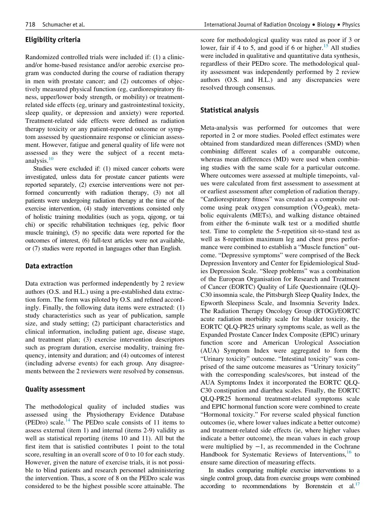## Eligibility criteria

Randomized controlled trials were included if: (1) a clinicand/or home-based resistance and/or aerobic exercise program was conducted during the course of radiation therapy in men with prostate cancer; and (2) outcomes of objectively measured physical function (eg, cardiorespiratory fitness, upper/lower body strength, or mobility) or treatmentrelated side effects (eg, urinary and gastrointestinal toxicity, sleep quality, or depression and anxiety) were reported. Treatment-related side effects were defined as radiation therapy toxicity or any patient-reported outcome or symptom assessed by questionnaire response or clinician assessment. However, fatigue and general quality of life were not assessed as they were the subject of a recent meta-analysis.<sup>[10](#page-16-7)</sup>

Studies were excluded if: (1) mixed cancer cohorts were investigated, unless data for prostate cancer patients were reported separately, (2) exercise interventions were not performed concurrently with radiation therapy, (3) not all patients were undergoing radiation therapy at the time of the exercise intervention, (4) study interventions consisted only of holistic training modalities (such as yoga, qigong, or tai chi) or specific rehabilitation techniques (eg, pelvic floor muscle training), (5) no specific data were reported for the outcomes of interest, (6) full-text articles were not available, or (7) studies were reported in languages other than English.

#### Data extraction

Data extraction was performed independently by 2 review authors (O.S. and H.L.) using a pre-established data extraction form. The form was piloted by O.S. and refined accordingly. Finally, the following data items were extracted: (1) study characteristics such as year of publication, sample size, and study setting; (2) participant characteristics and clinical information, including patient age, disease stage, and treatment plan; (3) exercise intervention descriptors such as program duration, exercise modality, training frequency, intensity and duration; and (4) outcomes of interest (including adverse events) for each group. Any disagreements between the 2 reviewers were resolved by consensus.

#### Quality assessment

The methodological quality of included studies was assessed using the Physiotherapy Evidence Database (PEDro) scale.<sup>[14](#page-16-12)</sup> The PEDro scale consists of 11 items to assess external (item 1) and internal (items 2-9) validity as well as statistical reporting (items 10 and 11). All but the first item that is satisfied contributes 1 point to the total score, resulting in an overall score of 0 to 10 for each study. However, given the nature of exercise trials, it is not possible to blind patients and research personnel administering the intervention. Thus, a score of 8 on the PEDro scale was considered to be the highest possible score attainable. The

score for methodological quality was rated as poor if 3 or lower, fair if 4 to 5, and good if 6 or higher.<sup>[15](#page-16-13)</sup> All studies were included in qualitative and quantitative data synthesis, regardless of their PEDro score. The methodological quality assessment was independently performed by 2 review authors (O.S. and H.L.) and any discrepancies were resolved through consensus.

#### Statistical analysis

Meta-analysis was performed for outcomes that were reported in 2 or more studies. Pooled effect estimates were obtained from standardized mean differences (SMD) when combining different scales of a comparable outcome, whereas mean differences (MD) were used when combining studies with the same scale for a particular outcome. Where outcomes were assessed at multiple timepoints, values were calculated from first assessment to assessment at or earliest assessment after completion of radiation therapy. "Cardiorespiratory fitness" was created as a composite outcome using peak oxygen consumption  $(\dot{V}O_2)$  peak), metabolic equivalents (METs), and walking distance obtained from either the 6-minute walk test or a modified shuttle test. Time to complete the 5-repetition sit-to-stand test as well as 8-repetition maximum leg and chest press performance were combined to establish a "Muscle function" outcome. "Depressive symptoms" were comprised of the Beck Depression Inventory and Center for Epidemiological Studies Depression Scale. "Sleep problems" was a combination of the European Organisation for Research and Treatment of Cancer (EORTC) Quality of Life Questionnaire (QLQ)- C30 insomnia scale, the Pittsburgh Sleep Quality Index, the Epworth Sleepiness Scale, and Insomnia Severity Index. The Radiation Therapy Oncology Group (RTOG)/EORTC acute radiation morbidity scale for bladder toxicity, the EORTC QLQ-PR25 urinary symptoms scale, as well as the Expanded Prostate Cancer Index Composite (EPIC) urinary function score and American Urological Association (AUA) Symptom Index were aggregated to form the "Urinary toxicity" outcome. "Intestinal toxicity" was comprised of the same outcome measures as "Urinary toxicity" with the corresponding scales/scores, but instead of the AUA Symptoms Index it incorporated the EORTC QLQ-C30 constipation and diarrhea scales. Finally, the EORTC QLQ-PR25 hormonal treatment-related symptoms scale and EPIC hormonal function score were combined to create "Hormonal toxicity." For reverse scaled physical function outcomes (ie, where lower values indicate a better outcome) and treatment-related side effects (ie, where higher values indicate a better outcome), the mean values in each group were multiplied by  $-1$ , as recommended in the Cochrane Handbook for Systematic Reviews of Interventions,  $16$  to ensure same direction of measuring effects.

In studies comparing multiple exercise interventions to a single control group, data from exercise groups were combined according to recommendations by Borenstein et al. $^{17}$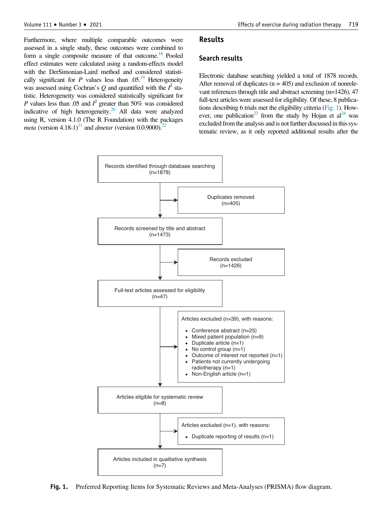Furthermore, where multiple comparable outcomes were assessed in a single study, these outcomes were combined to form a single composite measure of that outcome.<sup>18</sup> Pooled effect estimates were calculated using a random-effects model with the DerSimonian-Laird method and considered statistically significant for P values less than  $.05<sup>19</sup>$  Heterogeneity was assessed using Cochran's Q and quantified with the  $I^2$  statistic. Heterogeneity was considered statistically significant for P values less than .05 and  $I^2$  greater than 50% was considered indicative of high heterogeneity[.20](#page-16-18) All data were analyzed using R, version 4.1.0 (The R Foundation) with the packages *meta* (version 4.18-1)<sup>21</sup> and *dmetar* (version 0.0.9000).<sup>[22](#page-16-20)</sup>

#### Results

#### Search results

Electronic database searching yielded a total of 1878 records. After removal of duplicates  $(n = 405)$  and exclusion of nonrelevant references through title and abstract screening (n=1426), 47 full-text articles were assessed for eligibility. Of these, 8 publications describing 6 trials met the eligibility criteria [\(Fig. 1\)](#page-5-0). However, one publication<sup>23</sup> from the study by Hojan et al<sup>24</sup> was excluded from the analysis and is not further discussed in this systematic review, as it only reported additional results after the

<span id="page-5-0"></span>

Fig. 1. Preferred Reporting Items for Systematic Reviews and Meta-Analyses (PRISMA) flow diagram.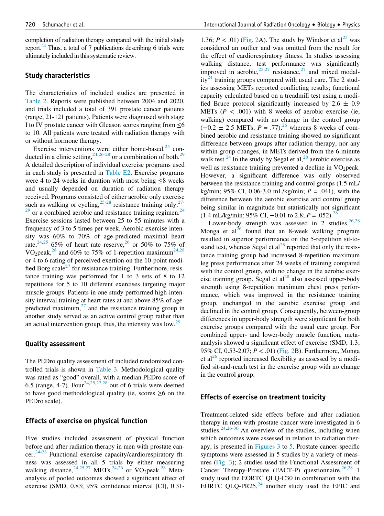completion of radiation therapy compared with the initial study report.<sup>24</sup> Thus, a total of 7 publications describing 6 trials were ultimately included in this systematic review.

#### Study characteristics

The characteristics of included studies are presented in [Table 2.](#page-7-0) Reports were published between 2004 and 2020, and trials included a total of 391 prostate cancer patients (range, 21-121 patients). Patients were diagnosed with stage I to IV prostate cancer with Gleason scores ranging from  $\leq 6$ to 10. All patients were treated with radiation therapy with or without hormone therapy.

Exercise interventions were either home-based, $25$  conducted in a clinic setting,  $2^{4,26-28}$  $2^{4,26-28}$  $2^{4,26-28}$  or a combination of both.<sup>[29](#page-16-25)</sup> A detailed description of individual exercise programs used in each study is presented in [Table E2.](#page-16-11) Exercise programs were 4 to 24 weeks in duration with most being  $\leq 8$  weeks and usually depended on duration of radiation therapy received. Programs consisted of either aerobic only exercise such as walking or cycling,  $25-28$  resistance training only,  $27 29$  or a combined aerobic and resistance training regimen.<sup>[24](#page-16-22)</sup> Exercise sessions lasted between 25 to 55 minutes with a frequency of 3 to 5 times per week. Aerobic exercise intensity was 60% to 70% of age-predicted maximal heart rate,  $24,25$  $24,25$  $24,25$  65% of heart rate reserve,  $26$  or 50% to 75% of  $\text{VO}_2$  peak,<sup>[28](#page-16-27)</sup> and 60% to 75% of 1-repetition maximum<sup>24,28</sup> or 4 to 6 rating of perceived exertion on the 10-point modi-fied Borg scale<sup>[27](#page-16-26)</sup> for resistance training. Furthermore, resistance training was performed for 1 to 3 sets of 8 to 12 repetitions for 5 to 10 different exercises targeting major muscle groups. Patients in one study performed high-intensity interval training at heart rates at and above 85% of agepredicted maximum, $27$  and the resistance training group in another study served as an active control group rather than an actual intervention group, thus, the intensity was  $\text{low.}^{29}$ 

#### Quality assessment

The PEDro quality assessment of included randomized controlled trials is shown in [Table 3.](#page-9-0) Methodological quality was rated as "good" overall, with a median PEDro score of 6.5 (range, 4-7). Four<sup>[24](#page-16-22)[,25,](#page-16-23)[27](#page-16-26),[28](#page-16-27)</sup> out of 6 trials were deemed to have good methodological quality (ie, scores  $\geq 6$  on the PEDro scale).

### Effects of exercise on physical function

Five studies included assessment of physical function before and after radiation therapy in men with prostate can-cer.<sup>[24-28](#page-16-22)</sup> Functional exercise capacity/cardiorespiratory fitness was assessed in all 5 trials by either measuring walking distance,  $24,25,27$  $24,25,27$  $24,25,27$  METs,  $24,26$  $24,26$  or  $\text{VO}_2$  peak.  $28$  Metaanalysis of pooled outcomes showed a significant effect of exercise (SMD, 0.83; 95% confidence interval [CI], 0.31-

1.36;  $P < .01$ ) ([Fig. 2](#page-9-1)A). The study by Windsor et al<sup>[25](#page-16-23)</sup> was considered an outlier and was omitted from the result for the effect of cardiorespiratory fitness. In studies assessing walking distance, test performance was significantly improved in aerobic,<sup>[25,](#page-16-23)[27](#page-16-26)</sup> resistance,<sup>27</sup> and mixed modal-ity<sup>[24](#page-16-22)</sup> training groups compared with usual care. The 2 studies assessing METs reported conflicting results; functional capacity calculated based on a treadmill test using a modified Bruce protocol significantly increased by  $2.6 \pm 0.9$ METs ( $P < .001$ ) with 8 weeks of aerobic exercise (ie, walking) compared with no change in the control group  $(-0.2 \pm 2.5 \text{ METs}; P = .77)$ ,<sup>26</sup> whereas 8 weeks of combined aerobic and resistance training showed no significant difference between groups after radiation therapy, nor any within-group changes, in METs derived from the 6-minute walk test.<sup>[24](#page-16-22)</sup> In the study by Segal et al,<sup>[28](#page-16-27)</sup> aerobic exercise as well as resistance training prevented a decline in  $\rm \dot{V}O_2$  peak. However, a significant difference was only observed between the resistance training and control groups (1.5 mL/ kg/min; 95% CI, 0.06-3.0 mL/kg/min;  $P = .041$ ), with the difference between the aerobic exercise and control group being similar in magnitude but statistically not significant  $(1.4 \text{ mL/kg/min}; 95\% \text{ CI}, -0.01 \text{ to } 2.8; P = .052).$ <sup>[28](#page-16-27)</sup>

Lower-body strength was assessed in 2 studies. $26,28$  $26,28$ Monga et  $al^{26}$  $al^{26}$  $al^{26}$  found that an 8-week walking program resulted in superior performance on the 5-repetition sit-tostand test, whereas Segal et  $al^{28}$  $al^{28}$  $al^{28}$  reported that only the resistance training group had increased 8-repetition maximum leg press performance after 24 weeks of training compared with the control group, with no change in the aerobic exercise training group. Segal et  $al^{28}$  $al^{28}$  $al^{28}$  also assessed upper-body strength using 8-repetition maximum chest press performance, which was improved in the resistance training group, unchanged in the aerobic exercise group and declined in the control group. Consequently, between-group differences in upper-body strength were significant for both exercise groups compared with the usual care group. For combined upper- and lower-body muscle function, metaanalysis showed a significant effect of exercise (SMD, 1.3; 95% CI, 0.53-2.07; P < .01) [\(Fig. 2](#page-9-1)B). Furthermore, Monga et al<sup>[26](#page-16-24)</sup> reported increased flexibility as assessed by a modified sit-and-reach test in the exercise group with no change in the control group.

#### Effects of exercise on treatment toxicity

Treatment-related side effects before and after radiation therapy in men with prostate cancer were investigated in 6 studies. $24,26-30$  $24,26-30$  An overview of the studies, including when which outcomes were assessed in relation to radiation therapy, is presented in [Figures 3](#page-10-0) to [5](#page-12-0). Prostate cancer-specific symptoms were assessed in 5 studies by a variety of measures [\(Fig. 3\)](#page-10-0); 2 studies used the Functional Assessment of Cancer Therapy-Prostate (FACT-P) questionnaire,  $^{26,28}$  $^{26,28}$  $^{26,28}$  $^{26,28}$  $^{26,28}$  1 study used the EORTC QLQ-C30 in combination with the EORTC QLQ-PR25, $^{24}$  $^{24}$  $^{24}$  another study used the EPIC and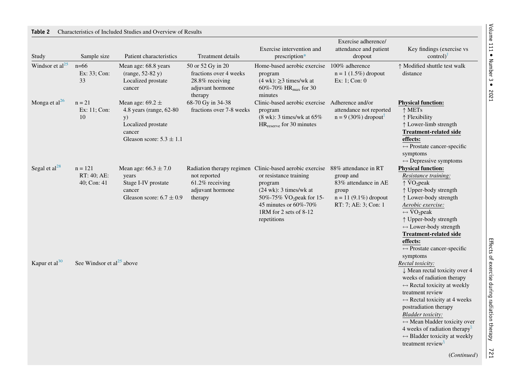<span id="page-7-0"></span>

| Study                       | Sample size                             | Patient characteristics                                                                                                        | Treatment details                                                                             | Exercise intervention and<br>prescription*                                                                                                                                                                                                                        | Exercise adherence/<br>attendance and patient<br>dropout                                      | Key findings (exercise vs<br>control)                                                                                                                                                                                                                                                                                                                                                                                                  |
|-----------------------------|-----------------------------------------|--------------------------------------------------------------------------------------------------------------------------------|-----------------------------------------------------------------------------------------------|-------------------------------------------------------------------------------------------------------------------------------------------------------------------------------------------------------------------------------------------------------------------|-----------------------------------------------------------------------------------------------|----------------------------------------------------------------------------------------------------------------------------------------------------------------------------------------------------------------------------------------------------------------------------------------------------------------------------------------------------------------------------------------------------------------------------------------|
| Windsor et al <sup>25</sup> | $n=66$<br>Ex: 33; Con:<br>33            | Mean age: 68.8 years<br>$(range, 52-82 y)$<br>Localized prostate<br>cancer                                                     | 50 or 52 Gy in 20<br>fractions over 4 weeks<br>28.8% receiving<br>adjuvant hormone<br>therapy | Home-based aerobic exercise<br>program<br>$(4 \text{ wk}): \geq 3 \text{ times/wk at}$<br>60%-70% HR <sub>max</sub> for 30<br>minutes                                                                                                                             | 100% adherence<br>$n = 1 (1.5%)$ dropout<br>Ex: $1$ ; Con: $0$                                | ↑ Modified shuttle test walk<br>distance                                                                                                                                                                                                                                                                                                                                                                                               |
| Monga et al $^{26}$         | $n = 21$<br>Ex: 11; Con:<br>10          | Mean age: $69.2 \pm$<br>4.8 years (range, 62-80)<br><b>y</b> )<br>Localized prostate<br>cancer<br>Gleason score: $5.3 \pm 1.1$ | 68-70 Gy in 34-38<br>fractions over 7-8 weeks                                                 | Clinic-based aerobic exercise Adherence and/or<br>program<br>$(8 \text{ wk})$ : 3 times/wk at $65\%$<br>$HR_{\text{reserve}}$ for 30 minutes                                                                                                                      | attendance not reported<br>$n = 9$ (30%) dropout <sup><math>\ddagger</math></sup>             | <b>Physical function:</b><br>$\uparrow$ METs<br>$\uparrow$ Flexibility<br>↑ Lower-limb strength<br><b>Treatment-related side</b><br>effects:<br>$\leftrightarrow$ Prostate cancer-specific<br>symptoms<br>$\leftrightarrow$ Depressive symptoms                                                                                                                                                                                        |
| Segal et $al^{28}$          | $n = 121$<br>RT: 40; AE:<br>40; Con: 41 | Mean age: $66.3 \pm 7.0$<br>years<br>Stage I-IV prostate<br>cancer<br>Gleason score: $6.7 \pm 0.9$                             | not reported<br>61.2% receiving<br>adjuvant hormone<br>therapy                                | Radiation therapy regimen Clinic-based aerobic exercise 88% attendance in RT<br>or resistance training<br>program<br>$(24 \text{ wk})$ : 3 times/wk at<br>50%-75% $\rm \dot{V}O_2$ peak for 15-<br>45 minutes or 60%-70%<br>1RM for 2 sets of 8-12<br>repetitions | group and<br>83% attendance in AE<br>group<br>$n = 11 (9.1%)$ dropout<br>RT: 7; AE: 3; Con: 1 | <b>Physical function:</b><br>Resistance training:<br>$\uparrow \text{VO}_2$ peak<br>↑ Upper-body strength<br>↑ Lower-body strength<br>Aerobic exercise:<br>$\leftrightarrow \text{VO}_2$ peak<br>↑ Upper-body strength<br>$\leftrightarrow$ Lower-body strength<br><b>Treatment-related side</b><br>effects:<br>$\leftrightarrow$ Prostate cancer-specific<br>symptoms                                                                 |
| Kapur et al <sup>30</sup>   | See Windsor et al <sup>25</sup> above   |                                                                                                                                |                                                                                               |                                                                                                                                                                                                                                                                   |                                                                                               | Rectal toxicity:<br>↓ Mean rectal toxicity over 4<br>weeks of radiation therapy<br>$\leftrightarrow$ Rectal toxicity at weekly<br>treatment review<br>$\leftrightarrow$ Rectal toxicity at 4 weeks<br>postradiation therapy<br><b>Bladder</b> toxicity:<br>$\leftrightarrow$ Mean bladder toxicity over<br>4 weeks of radiation therapy $\frac{8}{3}$<br>$\leftrightarrow$ Bladder toxicity at weekly<br>treatment review <sup>s</sup> |

ė,

Effects of exercise during radiation therapy 721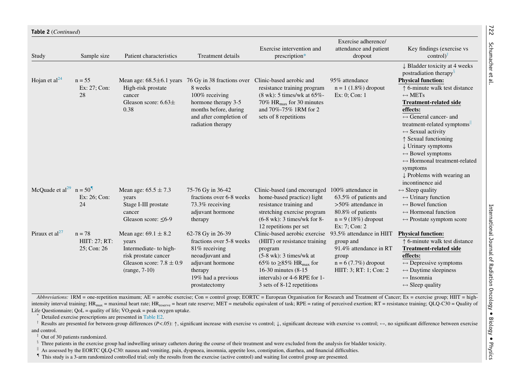| Study                                 | Sample size                              | Patient characteristics                                                                                                                | <b>Treatment details</b>                                                                                                                                                             | Exercise intervention and<br>prescription*                                                                                                                                                                                                       | Exercise adherence/<br>attendance and patient<br>dropout                                                                            | Key findings (exercise vs<br>$control)$ <sup>†</sup>                                                                                                                                                                                                                                                                                                                                                                                                                                                                                                           |
|---------------------------------------|------------------------------------------|----------------------------------------------------------------------------------------------------------------------------------------|--------------------------------------------------------------------------------------------------------------------------------------------------------------------------------------|--------------------------------------------------------------------------------------------------------------------------------------------------------------------------------------------------------------------------------------------------|-------------------------------------------------------------------------------------------------------------------------------------|----------------------------------------------------------------------------------------------------------------------------------------------------------------------------------------------------------------------------------------------------------------------------------------------------------------------------------------------------------------------------------------------------------------------------------------------------------------------------------------------------------------------------------------------------------------|
| Hojan et al $^{24}$                   | $n = 55$<br>Ex: $27$ ; Con:<br>28        | High-risk prostate<br>cancer<br>Gleason score: $6.63\pm$<br>0.38                                                                       | Mean age: $68.5\pm6.1$ years 76 Gy in 38 fractions over<br>8 weeks<br>100% receiving<br>hormone therapy 3-5<br>months before, during<br>and after completion of<br>radiation therapy | Clinic-based aerobic and<br>resistance training program<br>$(8 \text{ wk})$ : 5 times/wk at 65%-<br>70% $HR_{max}$ for 30 minutes<br>and 70%-75% 1RM for 2<br>sets of 8 repetitions                                                              | 95% attendance<br>$n = 1$ (1.8%) dropout<br>Ex: 0; Con: 1                                                                           | $\downarrow$ Bladder toxicity at 4 weeks<br>postradiation therapy <sup>§</sup><br><b>Physical function:</b><br>↑ 6-minute walk test distance<br>$\leftrightarrow$ METs<br><b>Treatment-related side</b><br>effects:<br>$\leftrightarrow$ General cancer- and<br>treatment-related symptoms<br>$\leftrightarrow$ Sexual activity<br>$\uparrow$ Sexual functioning<br>$\downarrow$ Urinary symptoms<br>$\leftrightarrow$ Bowel symptoms<br>$\leftrightarrow$ Hormonal treatment-related<br>symptoms<br>$\downarrow$ Problems with wearing an<br>incontinence aid |
| McQuade et al <sup>29</sup> $n = 501$ | Ex: $26$ ; Con:<br>24                    | Mean age: $65.5 \pm 7.3$<br>years<br>Stage I-III prostate<br>cancer<br>Gleason score: $\leq 6-9$                                       | 75-76 Gy in 36-42<br>fractions over 6-8 weeks<br>73.3% receiving<br>adjuvant hormone<br>therapy                                                                                      | Clinic-based (and encouraged<br>home-based practice) light<br>resistance training and<br>stretching exercise program<br>$(6-8 \text{ wk})$ : 3 times/wk for 8-<br>12 repetitions per set                                                         | 100% attendance in<br>63.5% of patients and<br>$>50\%$ attendance in<br>80.8% of patients<br>$n = 9$ (18%) dropout<br>Ex: 7; Con: 2 | $\leftrightarrow$ Sleep quality<br>$\leftrightarrow$ Urinary function<br>$\leftrightarrow$ Bowel function<br>$\leftrightarrow$ Hormonal function<br>$\leftrightarrow$ Prostate symptom score                                                                                                                                                                                                                                                                                                                                                                   |
| Piraux et al <sup>27</sup>            | $n = 78$<br>HIIT: 27; RT:<br>25; Con: 26 | Mean age: $69.1 \pm 8.2$<br>years<br>Intermediate- to high-<br>risk prostate cancer<br>Gleason score: $7.8 \pm 0.9$<br>$(range, 7-10)$ | 62-78 Gy in 26-39<br>fractions over 5-8 weeks<br>81% receiving<br>neoadjuvant and<br>adjuvant hormone<br>therapy<br>19% had a previous<br>prostatectomy                              | Clinic-based aerobic exercise<br>(HIIT) or resistance training<br>program<br>$(5-8 \text{ wk})$ : 3 times/wk at<br>65% to $\geq$ 85% HR <sub>max</sub> for<br>16-30 minutes (8-15)<br>intervals) or 4-6 RPE for 1-<br>3 sets of 8-12 repetitions | 93.5% attendance in HIIT<br>group and<br>91.4% attendance in RT<br>group<br>$n = 6 (7.7%)$ dropout<br>HIIT: 3; RT: 1; Con: 2        | <b>Physical function:</b><br>$\uparrow$ 6-minute walk test distance<br><b>Treatment-related side</b><br>effects:<br>$\leftrightarrow$ Depressive symptoms<br>$\leftrightarrow$ Daytime sleepiness<br>$\leftrightarrow$ Insomnia<br>$\leftrightarrow$ Sleep quality                                                                                                                                                                                                                                                                                             |

Abbreviations: 1RM = one-repetition maximum; AE = aerobic exercise; Con = control group; EORTC = European Organisation for Research and Treatment of Cancer; Ex = exercise group; HIIT = highintensity interval training; HR<sub>max</sub> = maximal heart rate; HR<sub>reserve</sub> = heart rate reserve; MET = metabolic equivalent of task; RPE = rating of perceived exertion; RT = resistance training; QLQ-C30 = Quality of Life Questionnaire;  $QoL =$  quality of life;  $\rm \dot{V}O_2$  peak  $=$  peak oxygen uptake.

\*Detailed exercise prescriptions are presented in [Table](#page-16-35) E2.

<sup>†</sup> Results are presented for between-group differences (P<.05):  $\uparrow$ , significant increase with exercise vs control;  $\downarrow$ , significant decrease with exercise vs control;  $\leftrightarrow$ , no significant difference between exercise and control.

 $\ddagger$  Out of 30 patients randomized.

<sup>§</sup> Three patients in the exercise group had indwelling urinary catheters during the course of their treatment and were excluded from the analysis for bladder toxicity.

 $\parallel$  As assessed by the EORTC QLQ-C30: nausea and vomiting, pain, dyspnoea, insomnia, appetite loss, constipation, diarrhea, and financial difficulties.

{ This study is <sup>a</sup> 3-arm randomized controlled trial; only the results from the exercise (active control) and waiting list control group are presented.

722

<span id="page-8-5"></span><span id="page-8-4"></span><span id="page-8-3"></span><span id="page-8-2"></span><span id="page-8-1"></span><span id="page-8-0"></span>Schumacher et al.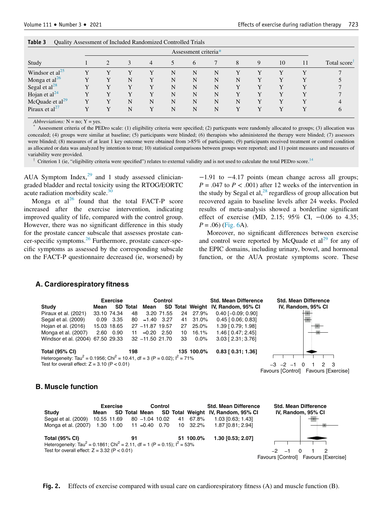| Lapte J<br>Quality Assessment of Inchuded Kandonized Controlled Trials |  |  |   |   |   |   |   |   |   |             |    |                          |
|------------------------------------------------------------------------|--|--|---|---|---|---|---|---|---|-------------|----|--------------------------|
| Assessment criteria*                                                   |  |  |   |   |   |   |   |   |   |             |    |                          |
| Study                                                                  |  |  |   | 4 |   | 6 |   | 8 | 9 | 10          | 11 | Total score <sup>T</sup> |
| Windsor et al <sup>25</sup>                                            |  |  |   |   | N | N | N |   |   | v           |    |                          |
| Monga et al $^{26}$                                                    |  |  | N |   | N | N | N | N |   |             |    |                          |
| Segal et $al28$                                                        |  |  |   |   | N | N | N |   |   |             |    |                          |
| Hojan et al $^{24}$                                                    |  |  |   |   | N | N | N |   |   |             |    |                          |
| McQuade et $al29$                                                      |  |  | N | N | N | N | N | N |   | $\mathbf v$ |    |                          |
| Piraux et $al^{27}$                                                    |  |  | N |   | N | N | N |   |   |             |    |                          |

<span id="page-9-0"></span>

| Table 3 | Quality Assessment of Included Randomized Controlled Trials |  |  |  |  |
|---------|-------------------------------------------------------------|--|--|--|--|
|---------|-------------------------------------------------------------|--|--|--|--|

Abbreviations:  $N = no$ ;  $Y = yes$ .

<span id="page-9-2"></span>\* Assessment criteria of the PEDro scale: (1) eligibility criteria were specified; (2) particpants were randomly allocated to groups; (3) allocation was concealed; (4) groups were similar at baseline; (5) participants were blinded; (6) therapists who administered the therapy were blinded; (7) assessors were blinded; (8) measures of at least 1 key outcome were obtained from >85% of participants; (9) participants received treatment or control condition as allocated or data was analyzed by intention to treat; 10) statistical comparisons between groups were reported; and 11) point measures and measures of variability were provided.

Criterion 1 (ie, "eligibility criteria were specified") relates to external validity and is not used to calculate the total PEDro score.<sup>[14](#page-16-12)</sup>

<span id="page-9-3"></span>AUA Symptom Index, $29$  and 1 study assessed cliniciangraded bladder and rectal toxicity using the RTOG/EORTC acute radiation morbidity scale. $36$ 

Monga et  $al^{26}$  $al^{26}$  $al^{26}$  found that the total FACT-P score increased after the exercise intervention, indicating improved quality of life, compared with the control group. However, there was no significant difference in this study for the prostate cancer subscale that assesses prostate cancer-specific symptoms.[26](#page-16-24) Furthermore, prostate cancer-specific symptoms as assessed by the corresponding subscale on the FACT-P questionnaire decreased (ie, worsened) by

−1.91 to −4.17 points (mean change across all groups;  $P = .047$  to  $P < .001$ ) after 12 weeks of the intervention in the study by Segal et al, $^{28}$  $^{28}$  $^{28}$  regardless of group allocation but recovered again to baseline levels after 24 weeks. Pooled results of meta-analysis showed a borderline significant effect of exercise (MD, 2.15; 95% CI, −0.06 to 4.35;  $P = .06$ ) ([Fig. 6A](#page-13-0)).

Moreover, no significant differences between exercise and control were reported by McQuade et  $al^{29}$  $al^{29}$  $al^{29}$  for any of the EPIC domains, including urinary, bowel, and hormonal function, or the AUA prostate symptoms score. These

#### <span id="page-9-1"></span>**A. Cardiorespiratory fitness**



## **B. Muscle function**

|                                                                                                   | <b>Exercise</b><br>Control |                        |  |    |           | <b>Std. Mean Difference</b>                      | <b>Std. Mean Difference</b> |                    |  |  |                                      |  |
|---------------------------------------------------------------------------------------------------|----------------------------|------------------------|--|----|-----------|--------------------------------------------------|-----------------------------|--------------------|--|--|--------------------------------------|--|
| Study                                                                                             | Mean                       |                        |  |    |           | SD Total Mean SD Total Weight IV, Random, 95% CI |                             | IV, Random, 95% CI |  |  |                                      |  |
| Segal et al. (2009)                                                                               | 10.55 11.69                | 80 -1.04 10.02         |  | 41 | 67.8%     | $1.03$ [0.63; 1.43]                              |                             |                    |  |  |                                      |  |
| Monga et al. (2007)                                                                               | 1.30 1.00                  | 11 -0.40 0.70 10 32.2% |  |    |           | 1.87 [0.81: 2.94]                                |                             |                    |  |  |                                      |  |
| Total (95% CI)                                                                                    |                            | 91                     |  |    | 51 100.0% | 1.30 [0.53; 2.07]                                |                             |                    |  |  |                                      |  |
| Heterogeneity: Tau <sup>2</sup> = 0.1861; Chi <sup>2</sup> = 2.11, df = 1 (P = 0.15); $I^2$ = 53% |                            |                        |  |    |           |                                                  |                             |                    |  |  |                                      |  |
| Test for overall effect: $Z = 3.32$ (P $< 0.01$ )                                                 |                            |                        |  |    |           |                                                  |                             | $-2$ $-1$          |  |  |                                      |  |
|                                                                                                   |                            |                        |  |    |           |                                                  |                             |                    |  |  | Favours [Control] Favours [Exercise] |  |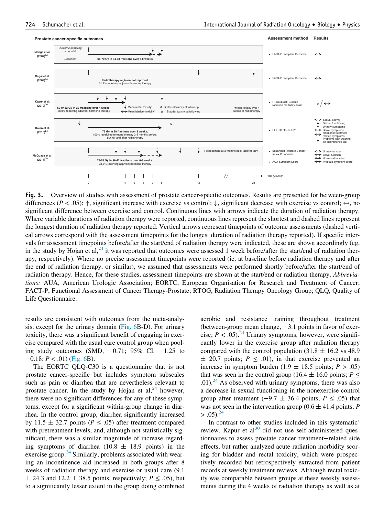<span id="page-10-0"></span>

Fig. 3. Overview of studies with assessment of prostate cancer-specific outcomes. Results are presented for between-group differences (P < .05):  $\uparrow$ , significant increase with exercise vs control;  $\downarrow$ , significant decrease with exercise vs control;  $\leftrightarrow$ , no significant difference between exercise and control. Continuous lines with arrows indicate the duration of radiation therapy. Where variable durations of radiation therapy were reported, continuous lines represent the shortest and dashed lines represent the longest duration of radiation therapy reported. Vertical arrows represent timepoints of outcome assessments (dashed vertical arrows correspond with the assessment timepoints for the longest duration of radiation therapy reported). If specific intervals for assessment timepoints before/after the start/end of radiation therapy were indicated, these are shown accordingly (eg, in the study by Hojan et al,  $^{24}$  $^{24}$  $^{24}$  it was reported that outcomes were assessed 1 week before/after the start/end of radiation therapy, respectively). Where no precise assessment timepoints were reported (ie, at baseline before radiation therapy and after the end of radiation therapy, or similar), we assumed that assessments were performed shortly before/after the start/end of radiation therapy. Hence, for these studies, assessment timepoints are shown at the start/end or radiation therapy. Abbreviations: AUA, American Urologic Association; EORTC, European Organisation for Research and Treatment of Cancer; FACT-P, Functional Assessment of Cancer Therapy-Prostate; RTOG, Radiation Therapy Oncology Group; QLQ, Quality of Life Questionnaire.

results are consistent with outcomes from the meta-analysis, except for the urinary domain ([Fig. 6](#page-13-0)B-D). For urinary toxicity, there was a significant benefit of engaging in exercise compared with the usual care control group when pooling study outcomes (SMD,  $-0.71$ ; 95% CI,  $-1.25$  to  $-0.18; P < .01$ ) [\(Fig. 6](#page-13-0)B).

The EORTC QLQ-C30 is a questionnaire that is not prostate cancer-specific but includes symptom subscales such as pain or diarrhea that are nevertheless relevant to prostate cancer. In the study by Hojan et  $al$ ,<sup>[24](#page-16-22)</sup> however, there were no significant differences for any of these symptoms, except for a significant within-group change in diarrhea. In the control group, diarrhea significantly increased by 11.5  $\pm$  32.7 points ( $P \leq .05$ ) after treatment compared with pretreatment levels, and, although not statistically significant, there was a similar magnitude of increase regarding symptoms of diarrhea (10.8  $\pm$  18.9 points) in the exercise group. $24$  Similarly, problems associated with wearing an incontinence aid increased in both groups after 8 weeks of radiation therapy and exercise or usual care (9.1  $\pm$  24.3 and 12.2  $\pm$  38.5 points, respectively;  $P \leq .05$ ), but to a significantly lesser extent in the group doing combined

aerobic and resistance training throughout treatment (between-group mean change, −3.1 points in favor of exercise;  $P < .05$ ).<sup>24</sup> Urinary symptoms, however, were significantly lower in the exercise group after radiation therapy compared with the control population (31.8  $\pm$  16.2 vs 48.9)  $\pm$  20.7 points;  $P \leq .01$ ), in that exercise prevented an increase in symptom burden (1.9  $\pm$  18.5 points; P > .05) that was seen in the control group (16.4  $\pm$  16.0 points;  $P \leq$ .01).<sup>24</sup> As observed with urinary symptoms, there was also a decrease in sexual functioning in the nonexercise control group after treatment ( $-9.7 \pm 36.4$  points;  $P \le .05$ ) that was not seen in the intervention group (0.6  $\pm$  41.4 points; P  $> 0.05$ ).<sup>24</sup>

In contrast to other studies included in this systematic' review, Kapur et al<sup>[30](#page-16-36)</sup> did not use self-administered questionnaires to assess prostate cancer treatment−related side effects, but rather analyzed acute radiation morbidity scoring for bladder and rectal toxicity, which were prospectively recorded but retrospectively extracted from patient records at weekly treatment reviews. Although rectal toxicity was comparable between groups at these weekly assessments during the 4 weeks of radiation therapy as well as at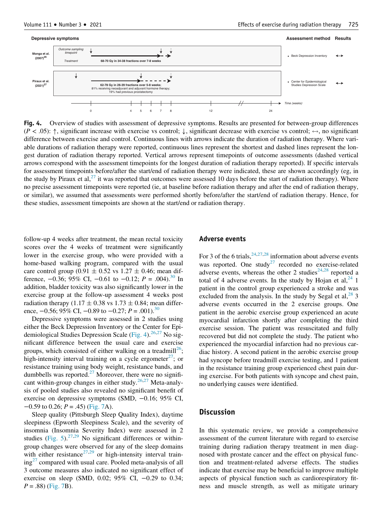<span id="page-11-0"></span>

Fig. 4. Overview of studies with assessment of depressive symptoms. Results are presented for between-group differences  $(P < .05)$ :  $\uparrow$ , significant increase with exercise vs control;  $\downarrow$ , significant decrease with exercise vs control;  $\leftrightarrow$ , no significant difference between exercise and control. Continuous lines with arrows indicate the duration of radiation therapy. Where variable durations of radiation therapy were reported, continuous lines represent the shortest and dashed lines represent the longest duration of radiation therapy reported. Vertical arrows represent timepoints of outcome assessments (dashed vertical arrows correspond with the assessment timepoints for the longest duration of radiation therapy reported). If specific intervals for assessment timepoints before/after the start/end of radiation therapy were indicated, these are shown accordingly (eg, in the study by Piraux et al,<sup>[27](#page-16-26)</sup> it was reported that outcomes were assessed 10 days before the start of radiation therapy). Where no precise assessment timepoints were reported (ie, at baseline before radiation therapy and after the end of radiation therapy, or similar), we assumed that assessments were performed shortly before/after the start/end of radiation therapy. Hence, for these studies, assessment timepoints are shown at the start/end or radiation therapy.

follow-up 4 weeks after treatment, the mean rectal toxicity scores over the 4 weeks of treatment were significantly lower in the exercise group, who were provided with a home-based walking program, compared with the usual care control group (0.91  $\pm$  0.52 vs 1.27  $\pm$  0.46; mean difference,  $-0.36$ ; 95% CI,  $-0.61$  to  $-0.12$ ;  $P = .004$ ).<sup>[30](#page-16-36)</sup> In addition, bladder toxicity was also significantly lower in the exercise group at the follow-up assessment 4 weeks post radiation therapy (1.17  $\pm$  0.38 vs 1.73  $\pm$  0.84; mean difference,  $-0.56$ ; 95% CI,  $-0.89$  to  $-0.27$ ;  $P = .001$ .<sup>[30](#page-16-36)</sup>

Depressive symptoms were assessed in 2 studies using either the Beck Depression Inventory or the Center for Epi-demiological Studies Depression Scale [\(Fig. 4](#page-11-0)).  $^{26,27}$  $^{26,27}$  $^{26,27}$  $^{26,27}$  No significant difference between the usual care and exercise groups, which consisted of either walking on a treadmill<sup>[26](#page-16-24)</sup>; high-intensity interval training on a cycle ergometer<sup>27</sup>; or resistance training using body weight, resistance bands, and dumbbells was reported.<sup>27</sup> Moreover, there were no signifi-cant within-group changes in either study.<sup>[26,](#page-16-24)[27](#page-16-26)</sup> Meta-analysis of pooled studies also revealed no significant benefit of exercise on depressive symptoms (SMD, −0.16; 95% CI,  $-0.59$  to 0.26;  $P = .45$ ) ([Fig. 7A](#page-14-0)).

Sleep quality (Pittsburgh Sleep Quality Index), daytime sleepiness (Epworth Sleepiness Scale), and the severity of insomnia (Insomnia Severity Index) were assessed in 2 studies [\(Fig. 5](#page-12-0)).<sup>[27](#page-16-26)[,29](#page-16-25)</sup> No significant differences or withingroup changes were observed for any of the sleep domains with either resistance<sup>[27](#page-16-26),[29](#page-16-25)</sup> or high-intensity interval train- $ing<sup>27</sup>$  $ing<sup>27</sup>$  $ing<sup>27</sup>$  compared with usual care. Pooled meta-analysis of all 3 outcome measures also indicated no significant effect of exercise on sleep (SMD, 0.02; 95% CI, −0.29 to 0.34;  $P = .88$ ) ([Fig. 7](#page-14-0)B).

#### Adverse events

For 3 of the 6 trials,  $24,27,28$  $24,27,28$  $24,27,28$  $24,27,28$  information about adverse events was reported. One study<sup>[27](#page-16-26)</sup> recorded no exercise-related adverse events, whereas the other 2 studies $24,28$  $24,28$  reported a total of 4 adverse events. In the study by Hojan et al,  $^{24}$  $^{24}$  $^{24}$  1 patient in the control group experienced a stroke and was excluded from the analysis. In the study by Segal et al,  $^{28}$  $^{28}$  $^{28}$  3 adverse events occurred in the 2 exercise groups. One patient in the aerobic exercise group experienced an acute myocardial infarction shortly after completing the third exercise session. The patient was resuscitated and fully recovered but did not complete the study. The patient who experienced the myocardial infarction had no previous cardiac history. A second patient in the aerobic exercise group had syncope before treadmill exercise testing, and 1 patient in the resistance training group experienced chest pain during exercise. For both patients with syncope and chest pain, no underlying causes were identified.

## **Discussion**

In this systematic review, we provide a comprehensive assessment of the current literature with regard to exercise training during radiation therapy treatment in men diagnosed with prostate cancer and the effect on physical function and treatment-related adverse effects. The studies indicate that exercise may be beneficial to improve multiple aspects of physical function such as cardiorespiratory fitness and muscle strength, as well as mitigate urinary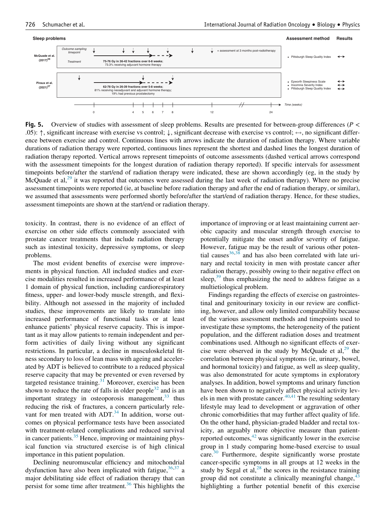<span id="page-12-0"></span>

Fig. 5. Overview of studies with assessment of sleep problems. Results are presented for between-group differences ( $P \lt \mathbb{R}$ .05):  $\uparrow$ , significant increase with exercise vs control;  $\downarrow$ , significant decrease with exercise vs control;  $\leftrightarrow$ , no significant difference between exercise and control. Continuous lines with arrows indicate the duration of radiation therapy. Where variable durations of radiation therapy were reported, continuous lines represent the shortest and dashed lines the longest duration of radiation therapy reported. Vertical arrows represent timepoints of outcome assessments (dashed vertical arrows correspond with the assessment timepoints for the longest duration of radiation therapy reported). If specific intervals for assessment timepoints before/after the start/end of radiation therapy were indicated, these are shown accordingly (eg, in the study by McQuade et al,<sup>[29](#page-16-25)</sup> it was reported that outcomes were assessed during the last week of radiation therapy). Where no precise assessment timepoints were reported (ie, at baseline before radiation therapy and after the end of radiation therapy, or similar), we assumed that assessments were performed shortly before/after the start/end of radiation therapy. Hence, for these studies, assessment timepoints are shown at the start/end or radiation therapy.

toxicity. In contrast, there is no evidence of an effect of exercise on other side effects commonly associated with prostate cancer treatments that include radiation therapy such as intestinal toxicity, depressive symptoms, or sleep problems.

The most evident benefits of exercise were improvements in physical function. All included studies and exercise modalities resulted in increased performance of at least 1 domain of physical function, including cardiorespiratory fitness, upper- and lower-body muscle strength, and flexibility. Although not assessed in the majority of included studies, these improvements are likely to translate into increased performance of functional tasks or at least enhance patients' physical reserve capacity. This is important as it may allow patients to remain independent and perform activities of daily living without any significant restrictions. In particular, a decline in musculoskeletal fitness secondary to loss of lean mass with ageing and accelerated by ADT is believed to contribute to a reduced physical reserve capacity that may be prevented or even reversed by targeted resistance training. $31$  Moreover, exercise has been shown to reduce the rate of falls in older people<sup>[32](#page-16-38)</sup> and is an important strategy in osteoporosis management,  $33$  thus reducing the risk of fractures, a concern particularly relevant for men treated with ADT. $34$  In addition, worse outcomes on physical performance tests have been associated with treatment-related complications and reduced survival in cancer patients. $35$  Hence, improving or maintaining physical function via structured exercise is of high clinical importance in this patient population.

Declining neuromuscular efficiency and mitochondrial dysfunction have also been implicated with fatigue,  $36,37$  $36,37$  a major debilitating side effect of radiation therapy that can persist for some time after treatment.<sup>[36](#page-16-42)</sup> This highlights the importance of improving or at least maintaining current aerobic capacity and muscular strength through exercise to potentially mitigate the onset and/or severity of fatigue. However, fatigue may be the result of various other potential causes $36,38$  $36,38$  and has also been correlated with late urinary and rectal toxicity in men with prostate cancer after radiation therapy, possibly owing to their negative effect on sleep, $39$  thus emphasizing the need to address fatigue as a multietiological problem.

Findings regarding the effects of exercise on gastrointestinal and genitourinary toxicity in our review are conflicting, however, and allow only limited comparability because of the various assessment methods and timepoints used to investigate these symptoms, the heterogeneity of the patient population, and the different radiation doses and treatment combinations used. Although no significant effects of exercise were observed in the study by McQuade et al,  $^{29}$  $^{29}$  $^{29}$  the correlation between physical symptoms (ie, urinary, bowel, and hormonal toxicity) and fatigue, as well as sleep quality, was also demonstrated for acute symptoms in exploratory analyses. In addition, bowel symptoms and urinary function have been shown to negatively affect physical activity levels in men with prostate cancer. $40,41$  $40,41$  The resulting sedentary lifestyle may lead to development or aggravation of other chronic comorbidities that may further affect quality of life. On the other hand, physician-graded bladder and rectal toxicity, an arguably more objective measure than patientreported outcomes, $42$  was significantly lower in the exercise group in 1 study comparing home-based exercise to usual care.<sup>30</sup> Furthermore, despite significantly worse prostate cancer-specific symptoms in all groups at 12 weeks in the study by Segal et  $aI<sub>z</sub><sup>28</sup>$  $aI<sub>z</sub><sup>28</sup>$  $aI<sub>z</sub><sup>28</sup>$  the scores in the resistance training group did not constitute a clinically meaningful change, $4$ highlighting a further potential benefit of this exercise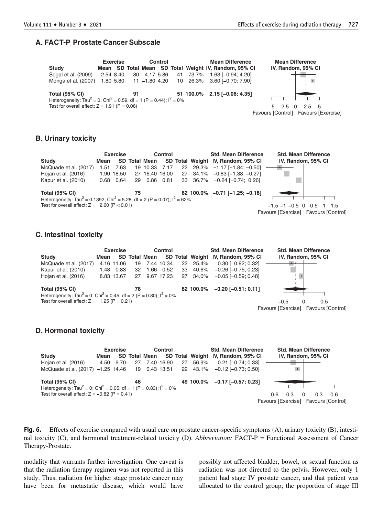### <span id="page-13-0"></span>**A. FACT-P Prostate Cancer Subscale**

| <b>Exercise</b>                                                                                                                                |            |  |    | Control |  | <b>Mean Difference</b>                                |                                      | <b>Mean Difference</b> |                     |  |  |  |  |
|------------------------------------------------------------------------------------------------------------------------------------------------|------------|--|----|---------|--|-------------------------------------------------------|--------------------------------------|------------------------|---------------------|--|--|--|--|
| Study                                                                                                                                          |            |  |    |         |  | Mean SD Total Mean SD Total Weight IV, Random, 95% CI |                                      |                        | IV, Random, 95% CI  |  |  |  |  |
| Segal et al. (2009)                                                                                                                            | -2.54 8.40 |  |    |         |  | 80 -4.17 5.86 41 73.7% 1.63 [-0.94; 4.20]             |                                      |                        |                     |  |  |  |  |
| Monga et al. (2007) 1.80 5.80 11 -1.80 4.20 10 26.3% 3.60 [-0.70; 7.90]                                                                        |            |  |    |         |  |                                                       |                                      |                        |                     |  |  |  |  |
| <b>Total (95% CI)</b>                                                                                                                          |            |  | 91 |         |  | 51 100.0% 2.15 [-0.06; 4.35]                          |                                      |                        |                     |  |  |  |  |
| Heterogeneity: Tau <sup>2</sup> = 0; Chi <sup>2</sup> = 0.59, df = 1 (P = 0.44); $I^2 = 0\%$<br>Test for overall effect: $Z = 1.91$ (P = 0.06) |            |  |    |         |  |                                                       |                                      |                        |                     |  |  |  |  |
|                                                                                                                                                |            |  |    |         |  |                                                       |                                      |                        | $-5$ $-2.5$ 0 2.5 5 |  |  |  |  |
|                                                                                                                                                |            |  |    |         |  |                                                       | Favours [Control] Favours [Exercise] |                        |                     |  |  |  |  |

## **B. Urinary toxicity**



## **C. Intestinal toxicity**

|                                                                                              | Exercise |            |    |                      | Control    |  |           | <b>Std. Mean Difference</b>        | <b>Std. Mean Difference</b>          |
|----------------------------------------------------------------------------------------------|----------|------------|----|----------------------|------------|--|-----------|------------------------------------|--------------------------------------|
| <b>Study</b>                                                                                 | Mean     |            |    | <b>SD Total Mean</b> |            |  |           | SD Total Weight IV, Random, 95% CI | IV, Random, 95% CI                   |
| McQuade et al. (2017)                                                                        |          | 4.16 11.06 |    | 19 7.44 10.34        |            |  | 22 25.4%  | $-0.30$ [ $-0.92$ ; 0.32]          | <b>Contract Contract</b>             |
| Kapur et al. (2010)                                                                          | 1.48     | 0.83       | 32 | 1.66                 | 0.52       |  | 33 40.6%  | $-0.26$ [ $-0.75$ ; 0.23]          |                                      |
| Hojan et al. (2016)                                                                          |          | 8.83 13.67 | 27 |                      | 9.67 17.23 |  | 27 34.0%  | $-0.05$ [ $-0.59$ : 0.48]          |                                      |
|                                                                                              |          |            |    |                      |            |  |           |                                    |                                      |
| <b>Total (95% CI)</b>                                                                        |          |            | 78 |                      |            |  | 82 100.0% | $-0.20$ [ $-0.51$ : 0.11]          |                                      |
| Heterogeneity: Tau <sup>2</sup> = 0; Chi <sup>2</sup> = 0.45, df = 2 (P = 0.80); $I^2 = 0\%$ |          |            |    |                      |            |  |           |                                    |                                      |
| Test for overall effect: $Z = -1.25$ (P = 0.21)                                              |          |            |    |                      |            |  |           |                                    | $-0.5$<br>$\Omega$<br>0.5            |
|                                                                                              |          |            |    |                      |            |  |           |                                    | Favours [Exercise] Favours [Control] |

## **D. Hormonal toxicity**

| <b>Exercise</b>                                                                              |      |           |    |               | Control |          | <b>Std. Mean Difference</b>                      | <b>Std. Mean Difference</b>          |     |     |  |
|----------------------------------------------------------------------------------------------|------|-----------|----|---------------|---------|----------|--------------------------------------------------|--------------------------------------|-----|-----|--|
| <b>Study</b>                                                                                 | Mean |           |    |               |         |          | SD Total Mean SD Total Weight IV, Random, 95% CI | IV, Random, 95% CI                   |     |     |  |
| Hojan et al. (2016)                                                                          |      | 4.50 9.70 |    | 27 7.40 16.90 |         | 27 56.9% | $-0.21$ [ $-0.74$ ; 0.33]                        |                                      |     |     |  |
| McQuade et al. (2017) -1.25 14.46 19 0.43 13.51 22 43.1% -0.12 [-0.73; 0.50]                 |      |           |    |               |         |          |                                                  |                                      |     |     |  |
| <b>Total (95% CI)</b>                                                                        |      |           | 46 |               |         |          | 49 100.0% -0.17 [-0.57; 0.23]                    |                                      |     |     |  |
| Heterogeneity: Tau <sup>2</sup> = 0; Chi <sup>2</sup> = 0.05, df = 1 (P = 0.83); $I^2 = 0\%$ |      |           |    |               |         |          |                                                  |                                      |     |     |  |
| Test for overall effect: $Z = -0.82$ (P = 0.41)                                              |      |           |    |               |         |          |                                                  | $-0.6 - 0.3$<br>$\Omega$             | 0.3 | 0.6 |  |
|                                                                                              |      |           |    |               |         |          |                                                  | Favours [Exercise] Favours [Control] |     |     |  |

Fig. 6. Effects of exercise compared with usual care on prostate cancer-specific symptoms (A), urinary toxicity (B), intestinal toxicity (C), and hormonal treatment-related toxicity (D). Abbreviation: FACT-P = Functional Assessment of Cancer Therapy-Prostate.

modality that warrants further investigation. One caveat is that the radiation therapy regimen was not reported in this study. Thus, radiation for higher stage prostate cancer may have been for metastatic disease, which would have

possibly not affected bladder, bowel, or sexual function as radiation was not directed to the pelvis. However, only 1 patient had stage IV prostate cancer, and that patient was allocated to the control group; the proportion of stage III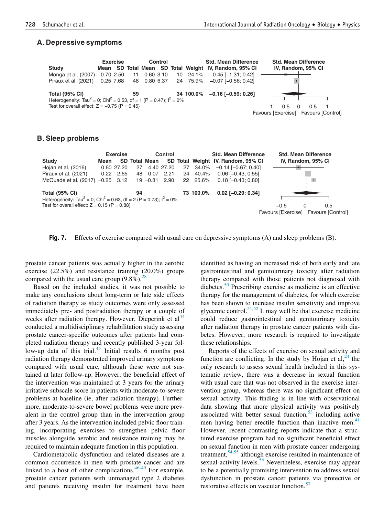#### <span id="page-14-0"></span>**A. Depressive symptoms**



#### **B. Sleep problems**



Fig. 7. Effects of exercise compared with usual care on depressive symptoms (A) and sleep problems (B).

prostate cancer patients was actually higher in the aerobic exercise (22.5%) and resistance training (20.0%) groups compared with the usual care group  $(9.8\%)$ .<sup>[28](#page-16-27)</sup>

Based on the included studies, it was not possible to make any conclusions about long-term or late side effects of radiation therapy as study outcomes were only assessed immediately pre- and postradiation therapy or a couple of weeks after radiation therapy. However, Dieperink et al<sup>[44](#page-17-3)</sup> conducted a multidisciplinary rehabilitation study assessing prostate cancer-specific outcomes after patients had completed radiation therapy and recently published 3-year fol-low-up data of this trial.<sup>[45](#page-17-4)</sup> Initial results 6 months post radiation therapy demonstrated improved urinary symptoms compared with usual care, although these were not sustained at later follow-up. However, the beneficial effect of the intervention was maintained at 3 years for the urinary irritative subscale score in patients with moderate-to-severe problems at baseline (ie, after radiation therapy). Furthermore, moderate-to-severe bowel problems were more prevalent in the control group than in the intervention group after 3 years. As the intervention included pelvic floor training, incorporating exercises to strengthen pelvic floor muscles alongside aerobic and resistance training may be required to maintain adequate function in this population.

Cardiometabolic dysfunction and related diseases are a common occurrence in men with prostate cancer and are linked to a host of other complications.  $46-49$  For example, prostate cancer patients with unmanaged type 2 diabetes and patients receiving insulin for treatment have been

identified as having an increased risk of both early and late gastrointestinal and genitourinary toxicity after radiation therapy compared with those patients not diagnosed with diabetes.<sup>[50](#page-17-6)</sup> Prescribing exercise as medicine is an effective therapy for the management of diabetes, for which exercise has been shown to increase insulin sensitivity and improve glycemic control.<sup>[51](#page-17-7)[,52](#page-17-8)</sup> It may well be that exercise medicine could reduce gastrointestinal and genitourinary toxicity after radiation therapy in prostate cancer patients with diabetes. However, more research is required to investigate these relationships.

Reports of the effects of exercise on sexual activity and function are conflicting. In the study by Hojan et al,  $24$  the only research to assess sexual health included in this systematic review, there was a decrease in sexual function with usual care that was not observed in the exercise intervention group, whereas there was no significant effect on sexual activity. This finding is in line with observational data showing that more physical activity was positively associated with better sexual function,  $53$  including active men having better erectile function than inactive men.<sup>[41](#page-17-0)</sup> However, recent contrasting reports indicate that a structured exercise program had no significant beneficial effect on sexual function in men with prostate cancer undergoing treatment,<sup>[54,](#page-17-10)[55](#page-17-11)</sup> although exercise resulted in maintenance of sexual activity levels.<sup>[56](#page-17-12)</sup> Nevertheless, exercise may appear to be a potentially promising intervention to address sexual dysfunction in prostate cancer patients via protective or restorative effects on vascular function.<sup>[57](#page-17-13)</sup>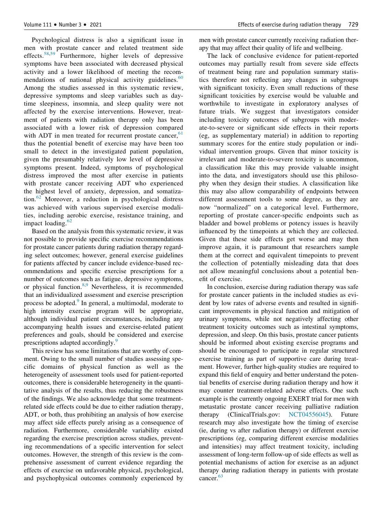Psychological distress is also a significant issue in men with prostate cancer and related treatment side effects.[58](#page-17-14)[,59](#page-17-15) Furthermore, higher levels of depressive symptoms have been associated with decreased physical activity and a lower likelihood of meeting the recommendations of national physical activity guidelines. $60$ Among the studies assessed in this systematic review, depressive symptoms and sleep variables such as daytime sleepiness, insomnia, and sleep quality were not affected by the exercise interventions. However, treatment of patients with radiation therapy only has been associated with a lower risk of depression compared with ADT in men treated for recurrent prostate cancer,  $61$ thus the potential benefit of exercise may have been too small to detect in the investigated patient population, given the presumably relatively low level of depressive symptoms present. Indeed, symptoms of psychological distress improved the most after exercise in patients with prostate cancer receiving ADT who experienced the highest level of anxiety, depression, and somatization.[62](#page-17-18) Moreover, a reduction in psychological distress was achieved with various supervised exercise modalities, including aerobic exercise, resistance training, and impact loading. $62$ 

Based on the analysis from this systematic review, it was not possible to provide specific exercise recommendations for prostate cancer patients during radiation therapy regarding select outcomes; however, general exercise guidelines for patients affected by cancer include evidence-based recommendations and specific exercise prescriptions for a number of outcomes such as fatigue, depressive symptoms, or physical function.<sup>[8,](#page-16-47)[9](#page-16-48)</sup> Nevertheless, it is recommended that an individualized assessment and exercise prescription process be adopted.<sup>[9](#page-16-48)</sup> In general, a multimodal, moderate to high intensity exercise program will be appropriate, although individual patient circumstances, including any accompanying health issues and exercise-related patient preferences and goals, should be considered and exercise prescriptions adapted accordingly.<sup>[9](#page-16-48)</sup>

This review has some limitations that are worthy of comment. Owing to the small number of studies assessing specific domains of physical function as well as the heterogeneity of assessment tools used for patient-reported outcomes, there is considerable heterogeneity in the quantitative analysis of the results, thus reducing the robustness of the findings. We also acknowledge that some treatmentrelated side effects could be due to either radiation therapy, ADT, or both, thus prohibiting an analysis of how exercise may affect side effects purely arising as a consequence of radiation. Furthermore, considerable variability existed regarding the exercise prescription across studies, preventing recommendations of a specific intervention for select outcomes. However, the strength of this review is the comprehensive assessment of current evidence regarding the effects of exercise on unfavorable physical, psychological, and psychophysical outcomes commonly experienced by men with prostate cancer currently receiving radiation therapy that may affect their quality of life and wellbeing.

The lack of conclusive evidence for patient-reported outcomes may partially result from severe side effects of treatment being rare and population summary statistics therefore not reflecting any changes in subgroups with significant toxicity. Even small reductions of these significant toxicities by exercise would be valuable and worthwhile to investigate in exploratory analyses of future trials. We suggest that investigators consider including toxicity outcomes of subgroups with moderate-to-severe or significant side effects in their reports (eg, as supplementary material) in addition to reporting summary scores for the entire study population or individual intervention groups. Given that minor toxicity is irrelevant and moderate-to-severe toxicity is uncommon, a classification like this may provide valuable insight into the data, and investigators should use this philosophy when they design their studies. A classification like this may also allow comparability of endpoints between different assessment tools to some degree, as they are now "normalized" on a categorical level. Furthermore, reporting of prostate cancer-specific endpoints such as bladder and bowel problems or potency issues is heavily influenced by the timepoints at which they are collected. Given that these side effects get worse and may then improve again, it is paramount that researchers sample them at the correct and equivalent timepoints to prevent the collection of potentially misleading data that does not allow meaningful conclusions about a potential benefit of exercise.

In conclusion, exercise during radiation therapy was safe for prostate cancer patients in the included studies as evident by low rates of adverse events and resulted in significant improvements in physical function and mitigation of urinary symptoms, while not negatively affecting other treatment toxicity outcomes such as intestinal symptoms, depression, and sleep. On this basis, prostate cancer patients should be informed about existing exercise programs and should be encouraged to participate in regular structured exercise training as part of supportive care during treatment. However, further high-quality studies are required to expand this field of enquiry and better understand the potential benefits of exercise during radiation therapy and how it may counter treatment-related adverse effects. One such example is the currently ongoing EXERT trial for men with metastatic prostate cancer receiving palliative radiation therapy (ClinicalTrials.gov: [NCT04556045](ctgov:NCT04556045)). Future research may also investigate how the timing of exercise (ie, during vs after radiation therapy) or different exercise prescriptions (eg, comparing different exercise modalities and intensities) may affect treatment toxicity, including assessment of long-term follow-up of side effects as well as potential mechanisms of action for exercise as an adjunct therapy during radiation therapy in patients with prostate cancer.<sup>[63](#page-17-19)</sup>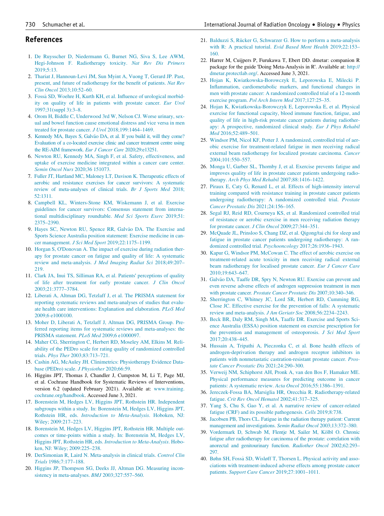#### <span id="page-16-19"></span><span id="page-16-11"></span>References

- <span id="page-16-20"></span><span id="page-16-0"></span>1. [De Ruysscher D, Niedermann G, Burnet NG, Siva S, Lee AWM,](http://refhub.elsevier.com/S0360-3016(21)00841-5/sbref0001) [Hegi-Johnson F. Radiotherapy toxicity.](http://refhub.elsevier.com/S0360-3016(21)00841-5/sbref0001) Nat Rev Dis Primers [2019;5:13.](http://refhub.elsevier.com/S0360-3016(21)00841-5/sbref0001)
- <span id="page-16-21"></span><span id="page-16-1"></span>2. [Thariat J, Hannoun-Levi JM, Sun Myint A, Vuong T, Gerard JP. Past,](http://refhub.elsevier.com/S0360-3016(21)00841-5/sbref0002) [present, and future of radiotherapy for the benefit of patients.](http://refhub.elsevier.com/S0360-3016(21)00841-5/sbref0002) Nat Rev Clin Oncol [2013;10:52–60.](http://refhub.elsevier.com/S0360-3016(21)00841-5/sbref0002)
- <span id="page-16-22"></span><span id="page-16-2"></span>3. [Fossa](http://refhub.elsevier.com/S0360-3016(21)00841-5/sbref0003) [SD, Woehre H, Kurth KH, et al. Influence of urological morbid](http://refhub.elsevier.com/S0360-3016(21)00841-5/sbref0003)[ity on quality of life in patients with prostate cancer.](http://refhub.elsevier.com/S0360-3016(21)00841-5/sbref0003) Eur Urol [1997;31\(suppl 3\):3–8.](http://refhub.elsevier.com/S0360-3016(21)00841-5/sbref0003)
- <span id="page-16-3"></span>4. [Orom H, Biddle C, Underwood 3rd W, Nelson CJ. Worse urinary, sex](http://refhub.elsevier.com/S0360-3016(21)00841-5/sbref0004)[ual and bowel function cause emotional distress and vice versa in men](http://refhub.elsevier.com/S0360-3016(21)00841-5/sbref0004) [treated for prostate cancer.](http://refhub.elsevier.com/S0360-3016(21)00841-5/sbref0004) J Urol 2018;199:1464–1469.
- <span id="page-16-23"></span><span id="page-16-4"></span>5. [Kennedy MA, Bayes S, Galv](http://refhub.elsevier.com/S0360-3016(21)00841-5/sbref0005)ã[o DA, et al. If you build it, will they come?](http://refhub.elsevier.com/S0360-3016(21)00841-5/sbref0005) Evaluation of a co-located [exercise clinic and cancer treatment centre using](http://refhub.elsevier.com/S0360-3016(21)00841-5/sbref0005) [the RE-AIM framework.](http://refhub.elsevier.com/S0360-3016(21)00841-5/sbref0005) Eur J Cancer Care 2020;29:e13251.
- <span id="page-16-5"></span>6. [Newton RU, Kennedy MA, Singh F, et al. Safety, effectiveness, and](http://refhub.elsevier.com/S0360-3016(21)00841-5/sbref0006) [uptake of exercise medicine integrated within a cancer care center.](http://refhub.elsevier.com/S0360-3016(21)00841-5/sbref0006) [Semin Oncol Nurs](http://refhub.elsevier.com/S0360-3016(21)00841-5/sbref0006) 2020;36 151073.
- <span id="page-16-26"></span><span id="page-16-24"></span><span id="page-16-6"></span>7. [Fuller JT, Hartland MC, Maloney LT, Davison K. Therapeutic effects of](http://refhub.elsevier.com/S0360-3016(21)00841-5/sbref0007) [aerobic and resistance exercises for cancer survivors: A systematic](http://refhub.elsevier.com/S0360-3016(21)00841-5/sbref0007) [review of meta-analyses of clinical trials.](http://refhub.elsevier.com/S0360-3016(21)00841-5/sbref0007) Br J Sports Med 2018; [52:1311.](http://refhub.elsevier.com/S0360-3016(21)00841-5/sbref0007)
- <span id="page-16-47"></span><span id="page-16-27"></span>8. [Campbell KL, Winters-Stone KM, Wiskemann J, et al. Exercise](http://refhub.elsevier.com/S0360-3016(21)00841-5/sbref0008) [guidelines for cancer survivors: Consensus statement from interna](http://refhub.elsevier.com/S0360-3016(21)00841-5/sbref0008)[tional multidisciplinary roundtable.](http://refhub.elsevier.com/S0360-3016(21)00841-5/sbref0008) Med Sci Sports Exerc 2019;51: [2375–2390.](http://refhub.elsevier.com/S0360-3016(21)00841-5/sbref0008)
- <span id="page-16-48"></span><span id="page-16-25"></span>9. [Hayes SC, Newton RU, Spence RR, Galv](http://refhub.elsevier.com/S0360-3016(21)00841-5/sbref0009)ã[o DA. The Exercise and](http://refhub.elsevier.com/S0360-3016(21)00841-5/sbref0009) [Sports Science Australia position statement: Exercise medicine in can](http://refhub.elsevier.com/S0360-3016(21)00841-5/sbref0009)cer management. J Sci Med Sport [2019;22:1175–1199.](http://refhub.elsevier.com/S0360-3016(21)00841-5/sbref0009)
- <span id="page-16-36"></span><span id="page-16-7"></span>10. Horgan S, O'[Donovan A. The impact of exercise during radiation ther](http://refhub.elsevier.com/S0360-3016(21)00841-5/sbref0010)[apy for prostate cancer on fatigue and quality of life: A systematic](http://refhub.elsevier.com/S0360-3016(21)00841-5/sbref0010) review and meta-analysis. [J Med Imaging Radiat Sci](http://refhub.elsevier.com/S0360-3016(21)00841-5/sbref0010) 2018;49:207– [219.](http://refhub.elsevier.com/S0360-3016(21)00841-5/sbref0010)
- <span id="page-16-37"></span><span id="page-16-8"></span>11. [Clark JA, Inui TS, Silliman RA, et al. Patients](http://refhub.elsevier.com/S0360-3016(21)00841-5/sbref0011)' perceptions of quality [of life after treatment for early prostate cancer.](http://refhub.elsevier.com/S0360-3016(21)00841-5/sbref0011) J Clin Oncol [2003;21:3777–3784.](http://refhub.elsevier.com/S0360-3016(21)00841-5/sbref0011)
- <span id="page-16-38"></span><span id="page-16-9"></span>12. [Liberati A, Altman DG, Tetzlaff J, et al. The PRISMA statement for](http://refhub.elsevier.com/S0360-3016(21)00841-5/sbref0012) [reporting systematic reviews and meta-analyses of studies that evalu](http://refhub.elsevier.com/S0360-3016(21)00841-5/sbref0012)[ate health care interventions: Explanation and elaboration.](http://refhub.elsevier.com/S0360-3016(21)00841-5/sbref0012) PLoS Med [2009;6 e1000100.](http://refhub.elsevier.com/S0360-3016(21)00841-5/sbref0012)
- <span id="page-16-39"></span><span id="page-16-10"></span>13. [Moher D, Liberati A, Tetzlaff J, Altman DG, PRISMA Group. Pre](http://refhub.elsevier.com/S0360-3016(21)00841-5/sbref0013)[ferred reporting items for systematic reviews and meta-analyses: the](http://refhub.elsevier.com/S0360-3016(21)00841-5/sbref0013) [PRISMA statement.](http://refhub.elsevier.com/S0360-3016(21)00841-5/sbref0013) PLoS Med 2009;6 e1000097.
- <span id="page-16-40"></span><span id="page-16-12"></span>14. [Maher CG, Sherrington C, Herbert RD, Moseley AM, Elkins M. Reli](http://refhub.elsevier.com/S0360-3016(21)00841-5/sbref0014)[ability of the PEDro scale for rating quality of randomized controlled](http://refhub.elsevier.com/S0360-3016(21)00841-5/sbref0014) trials. Phys Ther [2003;83:713–721.](http://refhub.elsevier.com/S0360-3016(21)00841-5/sbref0014)
- <span id="page-16-13"></span>15. [Cashin AG, McAuley JH. Clinimetrics: Physiotherapy Evidence Data](http://refhub.elsevier.com/S0360-3016(21)00841-5/sbref0015)[base \(PEDro\) scale.](http://refhub.elsevier.com/S0360-3016(21)00841-5/sbref0015) J Physiother 2020;66:59.
- <span id="page-16-41"></span><span id="page-16-14"></span>16. Higgins JPT, Thomas J, Chandler J, Cumpston M, Li T, Page MJ, et al. Cochrane Handbook for Systematic Reviews of Interventions, version 6.2 (updated February 2021). Available at: [www.training.](http://www.training.cochrane.org/handbook) [cochrane.org/handbook](http://www.training.cochrane.org/handbook). Accessed June 3, 2021.
- <span id="page-16-43"></span><span id="page-16-42"></span><span id="page-16-15"></span>17. [Borenstein M, Hedges LV, Higgins JPT, Rothstein HR. Independent](http://refhub.elsevier.com/S0360-3016(21)00841-5/sbref0017) [subgroups within a study. In: Borenstein M, Hedges LV, Higgins JPT,](http://refhub.elsevier.com/S0360-3016(21)00841-5/sbref0017) Rothstein HR, eds. [Introduction to Meta-Analysis](http://refhub.elsevier.com/S0360-3016(21)00841-5/sbref0017). Hoboken, NJ: [Wiley; 2009:217–223.](http://refhub.elsevier.com/S0360-3016(21)00841-5/sbref0017)
- <span id="page-16-45"></span><span id="page-16-44"></span><span id="page-16-16"></span>18. [Borenstein M, Hedges LV, Higgins JPT, Rothstein HR. Multiple out](http://refhub.elsevier.com/S0360-3016(21)00841-5/sbref0018)[comes or time-points within a study. In: Borenstein M, Hedges LV,](http://refhub.elsevier.com/S0360-3016(21)00841-5/sbref0018) [Higgins JPT, Rothstein HR, eds.](http://refhub.elsevier.com/S0360-3016(21)00841-5/sbref0018) Introduction to Meta-Analysis. Hobo[ken, NJ: Wiley; 2009:225–238.](http://refhub.elsevier.com/S0360-3016(21)00841-5/sbref0018)
- <span id="page-16-46"></span><span id="page-16-17"></span>19. [DerSimonian R, Laird N. Meta-analysis in clinical trials.](http://refhub.elsevier.com/S0360-3016(21)00841-5/sbref0019) Control Clin Trials [1986;7:177–188.](http://refhub.elsevier.com/S0360-3016(21)00841-5/sbref0019)
- <span id="page-16-18"></span>20. [Higgins JP, Thompson SG, Deeks JJ, Altman DG. Measuring incon](http://refhub.elsevier.com/S0360-3016(21)00841-5/sbref0020)[sistency in meta-analyses.](http://refhub.elsevier.com/S0360-3016(21)00841-5/sbref0020) BMJ 2003;327:557–560.
- <span id="page-16-35"></span><span id="page-16-34"></span><span id="page-16-33"></span><span id="page-16-32"></span><span id="page-16-31"></span><span id="page-16-30"></span><span id="page-16-29"></span><span id="page-16-28"></span>21. [Balduzzi S, R](http://refhub.elsevier.com/S0360-3016(21)00841-5/sbref0021)ü[cker G, Schwarzer G. How to perform a meta-analysis](http://refhub.elsevier.com/S0360-3016(21)00841-5/sbref0021) [with R: A practical tutorial.](http://refhub.elsevier.com/S0360-3016(21)00841-5/sbref0021) Evid Based Ment Health 2019;22:153– [160.](http://refhub.elsevier.com/S0360-3016(21)00841-5/sbref0021)
- 22. Harrer M, Cuijpers P, Furukawa T, Ebert DD. dmetar: companion R package for the guide 'Doing Meta-Analysis in R'. Available at: [http://](http://dmetar.protectlab.org/) [dmetar.protectlab.org/](http://dmetar.protectlab.org/). Accessed June 3, 2021.
- 23. [Hojan K, Kwiatkowska-Borowczyk E, Leporowska E, Milecki P.](http://refhub.elsevier.com/S0360-3016(21)00841-5/sbref0023) [Inflammation, cardiometabolic markers, and functional changes in](http://refhub.elsevier.com/S0360-3016(21)00841-5/sbref0023) [men with prostate cancer: A randomized controlled trial of a 12-month](http://refhub.elsevier.com/S0360-3016(21)00841-5/sbref0023) exercise program. [Pol Arch Intern Med](http://refhub.elsevier.com/S0360-3016(21)00841-5/sbref0023) 2017;127:25–35.
- 24. [Hojan K, Kwiatkowska-Borowczyk E, Leporowska E, et al. Physical](http://refhub.elsevier.com/S0360-3016(21)00841-5/sbref0024) [exercise for functional capacity, blood immune function, fatigue, and](http://refhub.elsevier.com/S0360-3016(21)00841-5/sbref0024) [quality of life in high-risk prostate cancer patients during radiother](http://refhub.elsevier.com/S0360-3016(21)00841-5/sbref0024)[apy: A prospective, randomized clinical study.](http://refhub.elsevier.com/S0360-3016(21)00841-5/sbref0024) Eur J Phys Rehabil Med [2016;52:489–501.](http://refhub.elsevier.com/S0360-3016(21)00841-5/sbref0024)
- 25. [Windsor PM, Nicol KF, Potter J. A randomized, controlled trial of aer](http://refhub.elsevier.com/S0360-3016(21)00841-5/sbref0025)[obic exercise for treatment-related fatigue in men receiving radical](http://refhub.elsevier.com/S0360-3016(21)00841-5/sbref0025) [external beam radiotherapy for localized prostate carcinoma.](http://refhub.elsevier.com/S0360-3016(21)00841-5/sbref0025) Cancer [2004;101:550–557.](http://refhub.elsevier.com/S0360-3016(21)00841-5/sbref0025)
- 26. [Monga U, Garber SL, Thornby J, et al. Exercise prevents fatigue and](http://refhub.elsevier.com/S0360-3016(21)00841-5/sbref0026) [improves quality of life in prostate cancer patients undergoing radio](http://refhub.elsevier.com/S0360-3016(21)00841-5/sbref0026)therapy. [Arch Phys Med Rehabil](http://refhub.elsevier.com/S0360-3016(21)00841-5/sbref0026) 2007;88:1416–1422.
- 27. [Piraux E, Caty G, Renard L, et al. Effects of high-intensity interval](http://refhub.elsevier.com/S0360-3016(21)00841-5/sbref0027) [training compared with resistance training in prostate cancer patients](http://refhub.elsevier.com/S0360-3016(21)00841-5/sbref0027) [undergoing radiotherapy: A randomized controlled trial.](http://refhub.elsevier.com/S0360-3016(21)00841-5/sbref0027) Prostate [Cancer Prostatic Dis](http://refhub.elsevier.com/S0360-3016(21)00841-5/sbref0027) 2021;24:156–165.
- 28. [Segal RJ, Reid RD, Courneya KS, et al. Randomized controlled trial](http://refhub.elsevier.com/S0360-3016(21)00841-5/sbref0028) [of resistance or aerobic exercise in men receiving radiation therapy](http://refhub.elsevier.com/S0360-3016(21)00841-5/sbref0028) [for prostate cancer.](http://refhub.elsevier.com/S0360-3016(21)00841-5/sbref0028) J Clin Oncol 2009;27:344-351.
- 29. [McQuade JL, Prinsloo S, Chang DZ, et al. Qigong/tai chi for sleep and](http://refhub.elsevier.com/S0360-3016(21)00841-5/sbref0029) [fatigue in prostate cancer patients undergoing radiotherapy: A ran](http://refhub.elsevier.com/S0360-3016(21)00841-5/sbref0029)[domized controlled trial.](http://refhub.elsevier.com/S0360-3016(21)00841-5/sbref0029) Psychooncology 2017;26:1936–1943.
- 30. [Kapur G, Windsor PM, McCowan C. The effect of aerobic exercise on](http://refhub.elsevier.com/S0360-3016(21)00841-5/sbref0030) [treatment-related acute toxicity in men receiving radical external](http://refhub.elsevier.com/S0360-3016(21)00841-5/sbref0030) [beam radiotherapy for localised prostate cancer.](http://refhub.elsevier.com/S0360-3016(21)00841-5/sbref0030) Eur J Cancer Care [2010;19:643–647.](http://refhub.elsevier.com/S0360-3016(21)00841-5/sbref0030)
- 31. [Galv](http://refhub.elsevier.com/S0360-3016(21)00841-5/sbref0031)ão DA, Taaffe DR, Spry N, Newton RU. Exercise can prevent and [even reverse adverse effects of androgen suppression treatment in men](http://refhub.elsevier.com/S0360-3016(21)00841-5/sbref0031) with prostate cancer. [Prostate Cancer Prostatic Dis](http://refhub.elsevier.com/S0360-3016(21)00841-5/sbref0031) 2007;10:340-346.
- 32. [Sherrington C, Whitney JC, Lord SR, Herbert RD, Cumming RG,](http://refhub.elsevier.com/S0360-3016(21)00841-5/sbref0032) [Close JC. Effective exercise for the prevention of falls: A systematic](http://refhub.elsevier.com/S0360-3016(21)00841-5/sbref0032) [review and meta-analysis.](http://refhub.elsevier.com/S0360-3016(21)00841-5/sbref0032) J Am Geriatr Soc 2008;56:2234-2243.
- 33. [Beck BR, Daly RM, Singh MA, Taaffe DR. Exercise and Sports Sci](http://refhub.elsevier.com/S0360-3016(21)00841-5/sbref0033)[ence Australia \(ESSA\) position statement on exercise prescription for](http://refhub.elsevier.com/S0360-3016(21)00841-5/sbref0033) [the prevention and management of osteoporosis.](http://refhub.elsevier.com/S0360-3016(21)00841-5/sbref0033) J Sci Med Sport [2017;20:438–445.](http://refhub.elsevier.com/S0360-3016(21)00841-5/sbref0033)
- 34. [Hussain A, Tripathi A, Pieczonka C, et al. Bone health effects of](http://refhub.elsevier.com/S0360-3016(21)00841-5/sbref0034) [androgen-deprivation therapy and androgen receptor inhibitors in](http://refhub.elsevier.com/S0360-3016(21)00841-5/sbref0034) [patients with nonmetastatic castration-resistant prostate cancer.](http://refhub.elsevier.com/S0360-3016(21)00841-5/sbref0034) Pros[tate Cancer Prostatic Dis](http://refhub.elsevier.com/S0360-3016(21)00841-5/sbref0034) 2021;24:290–300.
- 35. [Verweij NM, Schiphorst AH, Pronk A, van den Bos F, Hamaker ME.](http://refhub.elsevier.com/S0360-3016(21)00841-5/sbref0035) [Physical performance measures for predicting outcome in cancer](http://refhub.elsevier.com/S0360-3016(21)00841-5/sbref0035) [patients: A systematic review.](http://refhub.elsevier.com/S0360-3016(21)00841-5/sbref0035) Acta Oncol 2016;55:1386–1391.
- 36. [Jereczek-Fossa BA, Marsiglia HR, Orecchia R. Radiotherapy-related](http://refhub.elsevier.com/S0360-3016(21)00841-5/sbref0036) fatigue. [Crit Rev Oncol Hematol](http://refhub.elsevier.com/S0360-3016(21)00841-5/sbref0036) 2002;41:317–325.
- 37. [Yang S, Chu S, Gao Y, et al. A narrative review of cancer-related](http://refhub.elsevier.com/S0360-3016(21)00841-5/sbref0037) [fatigue \(CRF\) and its possible pathogenesis.](http://refhub.elsevier.com/S0360-3016(21)00841-5/sbref0037) Cells 2019;8:738.
- 38. [Jacobsen PB, Thors CL. Fatigue in the radiation therapy patient: Current](http://refhub.elsevier.com/S0360-3016(21)00841-5/sbref0038) [management and investigations.](http://refhub.elsevier.com/S0360-3016(21)00841-5/sbref0038) Semin Radiat Oncol 2003;13:372–380.
- 39. [Vordermark D, Schwab M, Flentje M, Sailer M, K](http://refhub.elsevier.com/S0360-3016(21)00841-5/sbref0039)ö[lbl O. Chronic](http://refhub.elsevier.com/S0360-3016(21)00841-5/sbref0039) [fatigue after radiotherapy for carcinoma of the prostate: correlation with](http://refhub.elsevier.com/S0360-3016(21)00841-5/sbref0039) [anorectal and genitourinary function.](http://refhub.elsevier.com/S0360-3016(21)00841-5/sbref0039) Radiother Oncol 2002;62:293– [297.](http://refhub.elsevier.com/S0360-3016(21)00841-5/sbref0039)
- 40. [Bøhn SH, Fossa](http://refhub.elsevier.com/S0360-3016(21)00841-5/sbref0040) [SD, Wisløff T, Thorsen L. Physical activity and asso](http://refhub.elsevier.com/S0360-3016(21)00841-5/sbref0040)[ciations with treatment-induced adverse effects among prostate cancer](http://refhub.elsevier.com/S0360-3016(21)00841-5/sbref0040) patients. [Support Care Cancer](http://refhub.elsevier.com/S0360-3016(21)00841-5/sbref0040) 2019;27:1001–1011.